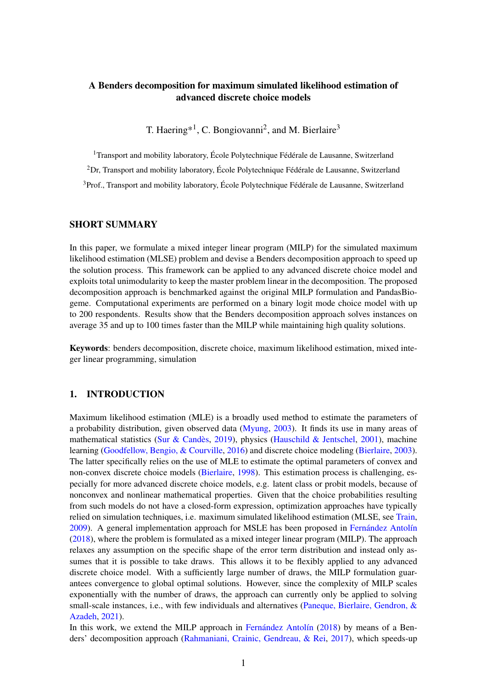# A Benders decomposition for maximum simulated likelihood estimation of advanced discrete choice models

T. Haering<sup>\*1</sup>, C. Bongiovanni<sup>2</sup>, and M. Bierlaire<sup>3</sup>

<sup>1</sup>Transport and mobility laboratory, École Polytechnique Fédérale de Lausanne, Switzerland

<sup>2</sup>Dr, Transport and mobility laboratory, École Polytechnique Fédérale de Lausanne, Switzerland

<sup>3</sup>Prof., Transport and mobility laboratory, École Polytechnique Fédérale de Lausanne, Switzerland

## SHORT SUMMARY

In this paper, we formulate a mixed integer linear program (MILP) for the simulated maximum likelihood estimation (MLSE) problem and devise a Benders decomposition approach to speed up the solution process. This framework can be applied to any advanced discrete choice model and exploits total unimodularity to keep the master problem linear in the decomposition. The proposed decomposition approach is benchmarked against the original MILP formulation and PandasBiogeme. Computational experiments are performed on a binary logit mode choice model with up to 200 respondents. Results show that the Benders decomposition approach solves instances on average 35 and up to 100 times faster than the MILP while maintaining high quality solutions.

Keywords: benders decomposition, discrete choice, maximum likelihood estimation, mixed integer linear programming, simulation

## 1. INTRODUCTION

Maximum likelihood estimation (MLE) is a broadly used method to estimate the parameters of a probability distribution, given observed data [\(Myung,](#page-5-0) [2003\)](#page-5-0). It finds its use in many areas of mathematical statistics [\(Sur & Candès,](#page-5-1) [2019\)](#page-5-1), physics [\(Hauschild & Jentschel,](#page-5-2) [2001\)](#page-5-2), machine learning [\(Goodfellow, Bengio, & Courville,](#page-5-3) [2016\)](#page-5-3) and discrete choice modeling [\(Bierlaire,](#page-5-4) [2003\)](#page-5-4). The latter specifically relies on the use of MLE to estimate the optimal parameters of convex and non-convex discrete choice models [\(Bierlaire,](#page-4-0) [1998\)](#page-4-0). This estimation process is challenging, especially for more advanced discrete choice models, e.g. latent class or probit models, because of nonconvex and nonlinear mathematical properties. Given that the choice probabilities resulting from such models do not have a closed-form expression, optimization approaches have typically relied on simulation techniques, i.e. maximum simulated likelihood estimation (MLSE, see [Train,](#page-5-5) [2009\)](#page-5-5). A general implementation approach for MSLE has been proposed in [Fernández Antolín](#page-5-6) [\(2018\)](#page-5-6), where the problem is formulated as a mixed integer linear program (MILP). The approach relaxes any assumption on the specific shape of the error term distribution and instead only assumes that it is possible to take draws. This allows it to be flexibly applied to any advanced discrete choice model. With a sufficiently large number of draws, the MILP formulation guarantees convergence to global optimal solutions. However, since the complexity of MILP scales exponentially with the number of draws, the approach can currently only be applied to solving small-scale instances, i.e., with few individuals and alternatives [\(Paneque, Bierlaire, Gendron, &](#page-5-7) [Azadeh,](#page-5-7) [2021\)](#page-5-7).

In this work, we extend the MILP approach in [Fernández Antolín](#page-5-6) [\(2018\)](#page-5-6) by means of a Benders' decomposition approach [\(Rahmaniani, Crainic, Gendreau, & Rei,](#page-5-8) [2017\)](#page-5-8), which speeds-up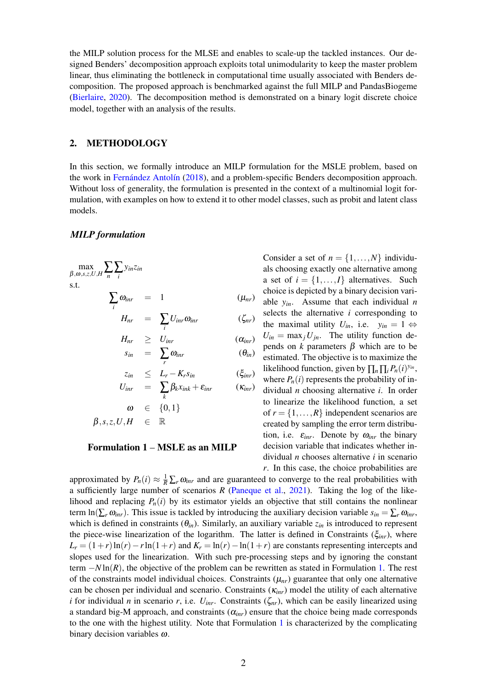the MILP solution process for the MLSE and enables to scale-up the tackled instances. Our designed Benders' decomposition approach exploits total unimodularity to keep the master problem linear, thus eliminating the bottleneck in computational time usually associated with Benders decomposition. The proposed approach is benchmarked against the full MILP and PandasBiogeme [\(Bierlaire,](#page-5-9) [2020\)](#page-5-9). The decomposition method is demonstrated on a binary logit discrete choice model, together with an analysis of the results.

## 2. METHODOLOGY

In this section, we formally introduce an MILP formulation for the MSLE problem, based on the work in [Fernández Antolín](#page-5-6) [\(2018\)](#page-5-6), and a problem-specific Benders decomposition approach. Without loss of generality, the formulation is presented in the context of a multinomial logit formulation, with examples on how to extend it to other model classes, such as probit and latent class models.

#### *MILP formulation*

<span id="page-1-0"></span>
$$
\max_{\beta,\omega,s,z,U,H} \sum_{n} \sum_{i} y_{in} z_{in}
$$
  
s.t.

$$
\sum_i \omega_{inr} = 1 \qquad (\mu_{nr})
$$

$$
H_{nr} = \sum_{i} U_{inr} \omega_{inr} \qquad (\zeta_{nr})
$$

$$
H_{nr} \geq U_{inr} \qquad (\alpha_{inr})
$$
  
\n
$$
s_{in} = \sum_{r} \omega_{inr} \qquad (\theta_{in})
$$

$$
z_{in} \leq L_r - K_r s_{in} \qquad (\xi_{inr})
$$
  
\n
$$
U_{inr} = \sum_{k} \beta_k x_{ink} + \varepsilon_{inr} \qquad (\kappa_{inr})
$$

 $1$ }

$$
\begin{array}{rcl}\n\omega & \in & \{0, \\
\beta, s, z, U, H & \in & \mathbb{R}\n\end{array}
$$

#### Formulation 1 – MSLE as an MILP

Consider a set of  $n = \{1, \ldots, N\}$  individuals choosing exactly one alternative among a set of  $i = \{1, ..., I\}$  alternatives. Such choice is depicted by a binary decision variable *yin*. Assume that each individual *n* selects the alternative *i* corresponding to the maximal utility  $U_{in}$ , i.e.  $y_{in} = 1 \Leftrightarrow$  $U_{in} = \max_j U_{jn}$ . The utility function depends on *k* parameters β which are to be estimated. The objective is to maximize the likelihood function, given by  $\prod_n \prod_i P_n(i)^{y_{in}}$ , where  $P_n(i)$  represents the probability of individual *n* choosing alternative *i*. In order to linearize the likelihood function, a set of  $r = \{1, \ldots, R\}$  independent scenarios are created by sampling the error term distribution, i.e.  $\varepsilon_{\text{inr}}$ . Denote by  $\omega_{\text{inr}}$  the binary decision variable that indicates whether individual *n* chooses alternative *i* in scenario *r*. In this case, the choice probabilities are

approximated by  $P_n(i) \approx \frac{1}{R} \sum_r \omega_{inr}$  and are guaranteed to converge to the real probabilities with a sufficiently large number of scenarios *R* [\(Paneque et al.,](#page-5-7) [2021\)](#page-5-7). Taking the log of the likelihood and replacing  $P_n(i)$  by its estimator yields an objective that still contains the nonlinear term  $\ln(\sum_{r} \omega_{\text{inv}})$ . This issue is tackled by introducing the auxiliary decision variable  $s_{in} = \sum_{r} \omega_{\text{inv}}$ , which is defined in constraints  $(\theta_{in})$ . Similarly, an auxiliary variable  $z_{in}$  is introduced to represent the piece-wise linearization of the logarithm. The latter is defined in Constraints (ξ*inr*), where  $L_r = (1+r)\ln(r) - r\ln(1+r)$  and  $K_r = \ln(r) - \ln(1+r)$  are constants representing intercepts and slopes used for the linearization. With such pre-processing steps and by ignoring the constant term −*N* ln(*R*), the objective of the problem can be rewritten as stated in Formulation [1.](#page-1-0) The rest of the constraints model individual choices. Constraints  $(\mu_{nr})$  guarantee that only one alternative can be chosen per individual and scenario. Constraints (κ*inr*) model the utility of each alternative *i* for individual *n* in scenario *r*, i.e.  $U_{inr}$ . Constraints ( $\zeta_{nr}$ ), which can be easily linearized using a standard big-M approach, and constraints  $(\alpha_{inr})$  ensure that the choice being made corresponds to the one with the highest utility. Note that Formulation [1](#page-1-0) is characterized by the complicating binary decision variables  $\omega$ .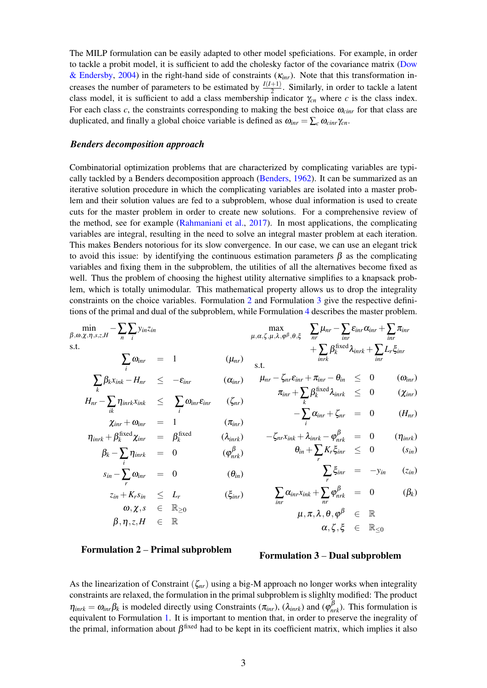The MILP formulation can be easily adapted to other model speficiations. For example, in order to tackle a probit model, it is sufficient to add the cholesky factor of the covariance matrix [\(Dow](#page-5-10) [& Endersby,](#page-5-10) [2004\)](#page-5-10) in the right-hand side of constraints (κ*inr*). Note that this transformation increases the number of parameters to be estimated by  $\frac{I(I+1)}{2}$ . Similarly, in order to tackle a latent class model, it is sufficient to add a class membership indicator  $\gamma_{cn}$  where *c* is the class index. For each class  $c$ , the constraints corresponding to making the best choice  $\omega_{\text{cinv}}$  for that class are duplicated, and finally a global choice variable is defined as  $\omega_{\text{inr}} = \sum_{c} \omega_{\text{cinn}} \gamma_{cn}$ .

### *Benders decomposition approach*

Combinatorial optimization problems that are characterized by complicating variables are typically tackled by a Benders decomposition approach [\(Benders,](#page-4-1) [1962\)](#page-4-1). It can be summarized as an iterative solution procedure in which the complicating variables are isolated into a master problem and their solution values are fed to a subproblem, whose dual information is used to create cuts for the master problem in order to create new solutions. For a comprehensive review of the method, see for example [\(Rahmaniani et al.,](#page-5-8) [2017\)](#page-5-8). In most applications, the complicating variables are integral, resulting in the need to solve an integral master problem at each iteration. This makes Benders notorious for its slow convergence. In our case, we can use an elegant trick to avoid this issue: by identifying the continuous estimation parameters  $\beta$  as the complicating variables and fixing them in the subproblem, the utilities of all the alternatives become fixed as well. Thus the problem of choosing the highest utility alternative simplifies to a knapsack problem, which is totally unimodular. This mathematical property allows us to drop the integrality constraints on the choice variables. Formulation [2](#page-2-0) and Formulation [3](#page-2-1) give the respective definitions of the primal and dual of the subproblem, while Formulation [4](#page-3-0) describes the master problem.

$$
\min_{\beta,\omega,\chi,\eta,s,z,H} - \sum_{n} \sum_{i} y_{in}z_{in}
$$
\n
$$
\sum_{\mu,\alpha,\zeta,\mu,\lambda,\varphi^{\beta},\theta,\xi} \sum_{nr} \mu_{nr} - \sum_{\text{inr}} \varepsilon_{\text{inr}} \alpha_{\text{inr}} + \sum_{\text{inr}} \pi_{\text{inr}}
$$
\n
$$
\sum_{i} \omega_{\text{inr}} = 1 \qquad (\mu_{nr}) \qquad \text{s.t.} + \sum_{\text{inr}} \beta_{\text{k}}^{\text{fixed}} \lambda_{\text{inr}} + \sum_{\text{inr}} L_{r} \xi_{\text{inr}}
$$
\n
$$
\sum_{i} \beta_{\text{k}} x_{\text{ink}} - H_{nr} < -\varepsilon_{\text{inr}} \qquad (\alpha_{\text{inr}}) \qquad \mu_{nr} - \zeta_{nr} \varepsilon_{\text{inr}} + \pi_{\text{inr}} - \theta_{\text{in}} \qquad \leq 0 \qquad (\omega_{\text{inr}})
$$

$$
\sum_{k} \beta_{k} x_{ink} - H_{nr} \leq -\varepsilon_{inr} \qquad (\alpha_{inr}) \qquad \mu_{nr} - \zeta_{nr} \varepsilon_{inr} + \pi_{inr} - \theta_{in} \leq 0
$$
\n
$$
H_{nr} - \sum_{ik} \eta_{inr} x_{ink} \leq \sum_{i} \omega_{inr} \varepsilon_{inr} \qquad (\zeta_{nr}) \qquad \sigma_{inr} + \sum_{k} \beta_{k}^{\text{fixed}} \lambda_{inrk} \leq 0
$$

β

$$
-\sum_{i}^{\infty} \alpha_{inr} + \zeta_{nr} = 0 \qquad (H_{nr})
$$

 $(\chi_{\text{inr}})$ 

$$
\begin{array}{rcl}\n(\lambda_{inrk}) & -\zeta_{nr}x_{ink} + \lambda_{inrk} - \varphi_{nrk}^{\beta} & = & 0 \quad (\eta_{inrk}) \\
(\varphi_{nrk}^{\beta}) & \theta_{in} + \sum_{r} K_{r}\xi_{inr} & \leq & 0 \quad (s_{in})\n\end{array}
$$

$$
\sum_{r} \xi_{inr} = -y_{in} \qquad (z_{in})
$$

$$
\sum_{inr} \alpha_{inr} x_{ink} + \sum_{nr} \varphi_{nrk}^{\beta} = 0 \qquad (\beta_k)
$$

$$
\mu, \pi, \lambda, \theta, \varphi^{\beta} \in \mathbb{R}
$$

<span id="page-2-1"></span>
$$
\begin{array}{rclcl} \mu,\pi,\lambda,\theta,\phi^{\beta} & \in & \mathbb{R} \\ \alpha,\zeta,\xi & \in & \mathbb{R}_{\leq 0} \end{array}
$$

## Formulation 2 – Primal subproblem

<span id="page-2-0"></span> $\omega, \chi, s \in \mathbb{R}_{\geq 0}$  $\beta, \eta, z, H \in \mathbb{R}$ 

 $\chi_{inr} + \omega_{inr} = 1$  ( $\pi_{inr}$ )

 $\eta_{\text{inrk}} = 0$  ( $\varphi$ 

 $s_{in} - \sum_{r} \omega_{inr} = 0$  (θ<sub>*in*</sub>)  $z_{in} + K_r s_{in} \leq L_r$  (ξ*inr*)

 $\eta_{\textit{inrk}} + \beta_k^{\textit{fixed}} \chi_{\textit{inr}} \quad = \quad \beta_k^{\textit{fixed}}$ 

 $\beta_k - \sum_i$ 

#### Formulation 3 – Dual subproblem

As the linearization of Constraint (ζ*nr*) using a big-M approach no longer works when integrality constraints are relaxed, the formulation in the primal subproblem is slighlty modified: The product  $\eta_{inrk} = \omega_{inr}\beta_k$  is modeled directly using Constraints ( $\pi_{inr}$ ), ( $\lambda_{inrk}$ ) and ( $\varphi_{nrk}^{\beta}$ ). This formulation is equivalent to Formulation [1.](#page-1-0) It is important to mention that, in order to preserve the inegrality of the primal, information about  $\beta^{fixed}$  had to be kept in its coefficient matrix, which implies it also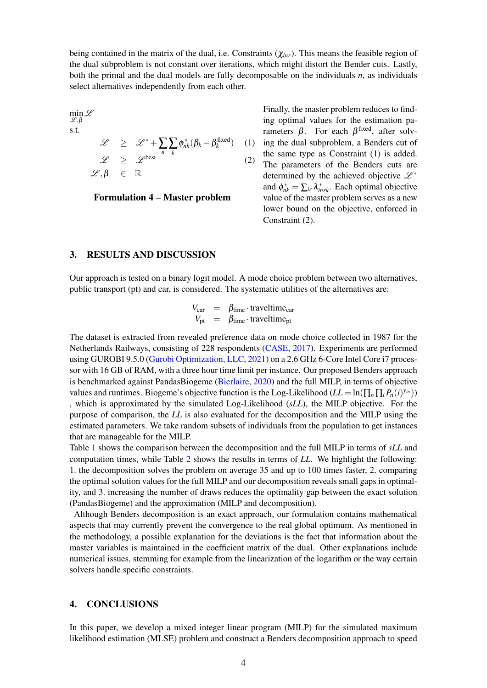being contained in the matrix of the dual, i.e. Constraints (χ*inr*). This means the feasible region of the dual subproblem is not constant over iterations, which might distort the Bender cuts. Lastly, both the primal and the dual models are fully decomposable on the individuals *n*, as individuals select alternatives independently from each other.

<span id="page-3-0"></span>
$$
\min_{\mathcal{L}, \beta} \mathcal{L}
$$
\ns.t.

\n
$$
\mathcal{L} \geq \mathcal{L}^* + \sum_{n} \sum_{k} \phi_{nk}^* (\beta_k - \beta_k^{\text{fixed}}) \quad (1)
$$
\n
$$
\mathcal{L} \geq \mathcal{L}^{\text{best}} \quad (2)
$$
\n
$$
\mathcal{L}, \beta \in \mathbb{R}
$$

Formulation 4 – Master problem

) (1) ing the dual subproblem, a Benders cut of Finally, the master problem reduces to finding optimal values for the estimation parameters  $β$ . For each  $β$ <sup>fixed</sup>, after solvthe same type as Constraint (1) is added. The parameters of the Benders cuts are determined by the achieved objective  $\mathscr{L}^*$ and  $\phi_{nk}^* = \sum_{ir} \lambda_{inrk}^*$ . Each optimal objective value of the master problem serves as a new lower bound on the objective, enforced in Constraint (2).

## 3. RESULTS AND DISCUSSION

Our approach is tested on a binary logit model. A mode choice problem between two alternatives, public transport (pt) and car, is considered. The systematic utilities of the alternatives are:

$$
V_{\text{car}} = \beta_{\text{time}} \cdot \text{traveltime}_{\text{car}}
$$
  

$$
V_{\text{pt}} = \beta_{\text{time}} \cdot \text{traveltime}_{\text{pt}}
$$

The dataset is extracted from revealed preference data on mode choice collected in 1987 for the Netherlands Railways, consisting of 228 respondents [\(CASE,](#page-5-11) [2017\)](#page-5-11). Experiments are performed using GUROBI 9.5.0 [\(Gurobi Optimization, LLC,](#page-5-12) [2021\)](#page-5-12) on a 2.6 GHz 6-Core Intel Core i7 processor with 16 GB of RAM, with a three hour time limit per instance. Our proposed Benders approach is benchmarked against PandasBiogeme [\(Bierlaire,](#page-5-9) [2020\)](#page-5-9) and the full MILP, in terms of objective values and runtimes. Biogeme's objective function is the Log-Likelihood ( $LL = \ln(\prod_n \prod_i P_n(i)^{y_{in}})$ ) , which is approximated by the simulated Log-Likelihood (*sLL*), the MILP objective. For the purpose of comparison, the *LL* is also evaluated for the decomposition and the MILP using the estimated parameters. We take random subsets of individuals from the population to get instances that are manageable for the MILP.

Table [1](#page-4-2) shows the comparison between the decomposition and the full MILP in terms of *sLL* and computation times, while Table [2](#page-4-3) shows the results in terms of *LL*. We highlight the following: 1. the decomposition solves the problem on average 35 and up to 100 times faster, 2. comparing the optimal solution values for the full MILP and our decomposition reveals small gaps in optimality, and 3. increasing the number of draws reduces the optimality gap between the exact solution (PandasBiogeme) and the approximation (MILP and decomposition).

Although Benders decomposition is an exact approach, our formulation contains mathematical aspects that may currently prevent the convergence to the real global optimum. As mentioned in the methodology, a possible explanation for the deviations is the fact that information about the master variables is maintained in the coefficient matrix of the dual. Other explanations include numerical issues, stemming for example from the linearization of the logarithm or the way certain solvers handle specific constraints.

# 4. CONCLUSIONS

In this paper, we develop a mixed integer linear program (MILP) for the simulated maximum likelihood estimation (MLSE) problem and construct a Benders decomposition approach to speed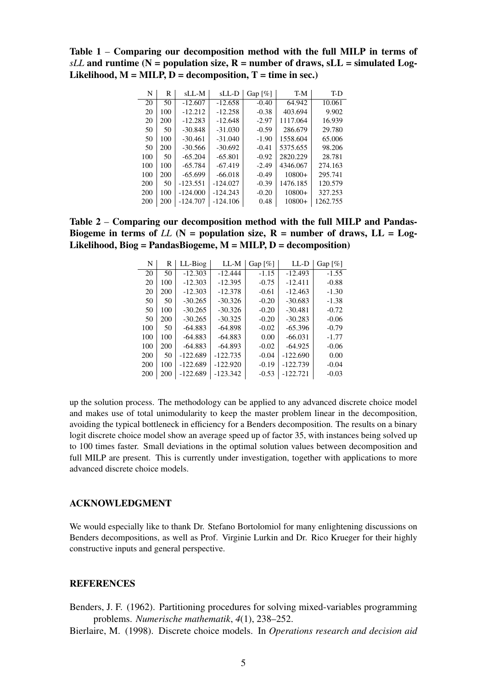<span id="page-4-2"></span>Table 1 – Comparing our decomposition method with the full MILP in terms of  $sLL$  and runtime (N = population size, R = number of draws,  $sLL$  = simulated Log-Likelihood,  $M = MILP$ ,  $D = decomposition$ ,  $T = time$  in sec.)

| N   | R   | sLL-M      | sLL-D      | Gap $\lceil \% \rceil$ | T-M      | T-D      |
|-----|-----|------------|------------|------------------------|----------|----------|
| 20  | 50  | $-12.607$  | $-12.658$  | $-0.40$                | 64.942   | 10.061   |
| 20  | 100 | $-12.212$  | $-12.258$  | $-0.38$                | 403.694  | 9.902    |
| 20  | 200 | $-12.283$  | $-12.648$  | $-2.97$                | 1117.064 | 16.939   |
| 50  | 50  | $-30.848$  | $-31.030$  | $-0.59$                | 286.679  | 29.780   |
| 50  | 100 | $-30.461$  | $-31.040$  | $-1.90$                | 1558.604 | 65,006   |
| 50  | 200 | $-30.566$  | $-30.692$  | $-0.41$                | 5375.655 | 98.206   |
| 100 | 50  | $-65.204$  | $-65.801$  | $-0.92$                | 2820.229 | 28.781   |
| 100 | 100 | $-65.784$  | $-67.419$  | $-2.49$                | 4346.067 | 274.163  |
| 100 | 200 | $-65.699$  | $-66.018$  | $-0.49$                | $10800+$ | 295.741  |
| 200 | 50  | $-123.551$ | $-124.027$ | $-0.39$                | 1476.185 | 120.579  |
| 200 | 100 | $-124.000$ | $-124.243$ | $-0.20$                | $10800+$ | 327.253  |
| 200 | 200 | $-124.707$ | $-124.106$ | 0.48                   | $10800+$ | 1262.755 |

<span id="page-4-3"></span>Table 2 – Comparing our decomposition method with the full MILP and Pandas-Biogeme in terms of *LL* ( $N =$  population size,  $R =$  number of draws,  $LL =$  Log-Likelihood,  $\text{Biog} = \text{Pandas} \cdot \text{Biogeme}$ ,  $M = \text{MILP}$ ,  $D = \text{decomposition}$ 

| N   | R   | LL-Biog    | $LL-M$     | Gap $\lceil \% \rceil$ | LL-D       | Gap $\lceil \% \rceil$ |
|-----|-----|------------|------------|------------------------|------------|------------------------|
| 20  | 50  | $-12.303$  | $-12.444$  | $-1.15$                | $-12.493$  | $-1.55$                |
| 20  | 100 | $-12.303$  | $-12.395$  | $-0.75$                | $-12.411$  | $-0.88$                |
| 20  | 200 | $-12.303$  | $-12.378$  | $-0.61$                | $-12.463$  | $-1.30$                |
| 50  | 50  | $-30.265$  | $-30.326$  | $-0.20$                | $-30.683$  | $-1.38$                |
| 50  | 100 | $-30.265$  | $-30.326$  | $-0.20$                | $-30.481$  | $-0.72$                |
| 50  | 200 | $-30.265$  | $-30.325$  | $-0.20$                | $-30.283$  | $-0.06$                |
| 100 | 50  | $-64.883$  | $-64.898$  | $-0.02$                | $-65.396$  | $-0.79$                |
| 100 | 100 | $-64.883$  | $-64.883$  | 0.00                   | $-66.031$  | $-1.77$                |
| 100 | 200 | $-64.883$  | $-64.893$  | $-0.02$                | $-64.925$  | $-0.06$                |
| 200 | 50  | $-122.689$ | $-122.735$ | $-0.04$                | $-122.690$ | 0.00                   |
| 200 | 100 | $-122.689$ | $-122.920$ | $-0.19$                | $-122.739$ | $-0.04$                |
| 200 | 200 | $-122.689$ | $-123.342$ | $-0.53$                | $-122.721$ | $-0.03$                |

up the solution process. The methodology can be applied to any advanced discrete choice model and makes use of total unimodularity to keep the master problem linear in the decomposition, avoiding the typical bottleneck in efficiency for a Benders decomposition. The results on a binary logit discrete choice model show an average speed up of factor 35, with instances being solved up to 100 times faster. Small deviations in the optimal solution values between decomposition and full MILP are present. This is currently under investigation, together with applications to more advanced discrete choice models.

## ACKNOWLEDGMENT

We would especially like to thank Dr. Stefano Bortolomiol for many enlightening discussions on Benders decompositions, as well as Prof. Virginie Lurkin and Dr. Rico Krueger for their highly constructive inputs and general perspective.

# **REFERENCES**

<span id="page-4-1"></span>Benders, J. F. (1962). Partitioning procedures for solving mixed-variables programming problems. *Numerische mathematik*, *4*(1), 238–252.

<span id="page-4-0"></span>Bierlaire, M. (1998). Discrete choice models. In *Operations research and decision aid*